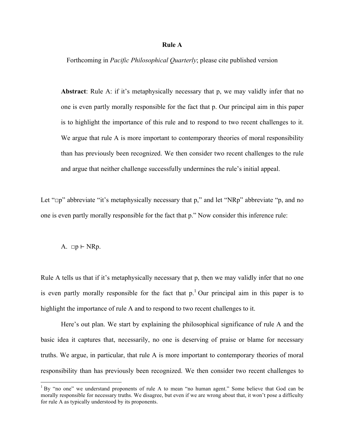### **Rule A**

Forthcoming in *Pacific Philosophical Quarterly*; please cite published version

**Abstract**: Rule A: if it's metaphysically necessary that p, we may validly infer that no one is even partly morally responsible for the fact that p. Our principal aim in this paper is to highlight the importance of this rule and to respond to two recent challenges to it. We argue that rule A is more important to contemporary theories of moral responsibility than has previously been recognized. We then consider two recent challenges to the rule and argue that neither challenge successfully undermines the rule's initial appeal.

Let " $\neg$ " abbreviate "it's metaphysically necessary that p," and let "NRp" abbreviate "p, and no one is even partly morally responsible for the fact that p." Now consider this inference rule:

A.  $□p$  ⊢ NRp.

Rule A tells us that if it's metaphysically necessary that p, then we may validly infer that no one is even partly morally responsible for the fact that  $p<sup>1</sup>$  Our principal aim in this paper is to highlight the importance of rule A and to respond to two recent challenges to it.

Here's out plan. We start by explaining the philosophical significance of rule A and the basic idea it captures that, necessarily, no one is deserving of praise or blame for necessary truths. We argue, in particular, that rule A is more important to contemporary theories of moral responsibility than has previously been recognized. We then consider two recent challenges to

<sup>&</sup>lt;sup>1</sup> By "no one" we understand proponents of rule A to mean "no human agent." Some believe that God can be morally responsible for necessary truths. We disagree, but even if we are wrong about that, it won't pose a difficulty for rule A as typically understood by its proponents.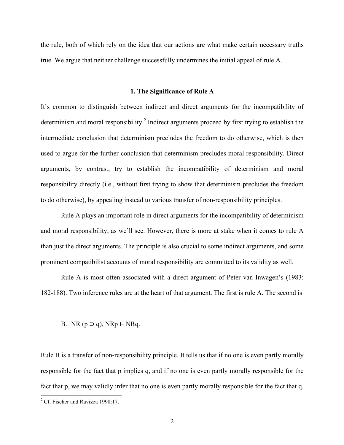the rule, both of which rely on the idea that our actions are what make certain necessary truths true. We argue that neither challenge successfully undermines the initial appeal of rule A.

### **1. The Significance of Rule A**

It's common to distinguish between indirect and direct arguments for the incompatibility of determinism and moral responsibility.<sup>2</sup> Indirect arguments proceed by first trying to establish the intermediate conclusion that determinism precludes the freedom to do otherwise, which is then used to argue for the further conclusion that determinism precludes moral responsibility. Direct arguments, by contrast, try to establish the incompatibility of determinism and moral responsibility directly (i.e., without first trying to show that determinism precludes the freedom to do otherwise), by appealing instead to various transfer of non-responsibility principles.

Rule A plays an important role in direct arguments for the incompatibility of determinism and moral responsibility, as we'll see. However, there is more at stake when it comes to rule A than just the direct arguments. The principle is also crucial to some indirect arguments, and some prominent compatibilist accounts of moral responsibility are committed to its validity as well.

Rule A is most often associated with a direct argument of Peter van Inwagen's (1983: 182-188). Two inference rules are at the heart of that argument. The first is rule A. The second is

B. NR  $(p \supset q)$ , NRp  $\vdash$  NRq.

Rule B is a transfer of non-responsibility principle. It tells us that if no one is even partly morally responsible for the fact that p implies q, and if no one is even partly morally responsible for the fact that p, we may validly infer that no one is even partly morally responsible for the fact that q.

<sup>&</sup>lt;sup>2</sup> Cf. Fischer and Ravizza 1998:17.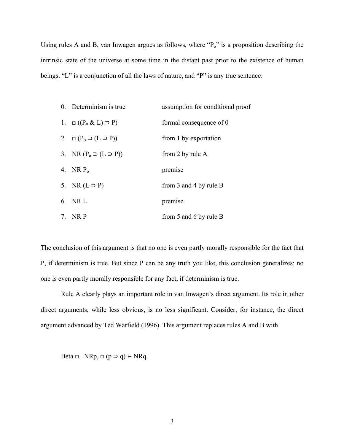Using rules A and B, van Inwagen argues as follows, where " $P_0$ " is a proposition describing the intrinsic state of the universe at some time in the distant past prior to the existence of human beings, "L" is a conjunction of all the laws of nature, and "P" is any true sentence:

| 0. Determinism is true                               | assumption for conditional proof |
|------------------------------------------------------|----------------------------------|
| 1. $\Box$ ((P <sub>o</sub> & L) $\supset$ P)         | formal consequence of 0          |
| 2. $\Box$ (P <sub>0</sub> $\supset$ (L $\supset$ P)) | from 1 by exportation            |
| 3. NR $(P_0 \supset (L \supset P))$                  | from 2 by rule A                 |
| 4. NR $P_0$                                          | premise                          |
| 5. NR $(L \supset P)$                                | from 3 and 4 by rule B           |
| 6. NR $L$                                            | premise                          |
| 7. NR P                                              | from 5 and 6 by rule B           |

The conclusion of this argument is that no one is even partly morally responsible for the fact that P, if determinism is true. But since P can be any truth you like, this conclusion generalizes; no one is even partly morally responsible for any fact, if determinism is true.

Rule A clearly plays an important role in van Inwagen's direct argument. Its role in other direct arguments, while less obvious, is no less significant. Consider, for instance, the direct argument advanced by Ted Warfield (1996). This argument replaces rules A and B with

Beta  $\Box$ . NRp,  $\Box$  (p  $\supset$  q)  $\vdash$  NRq.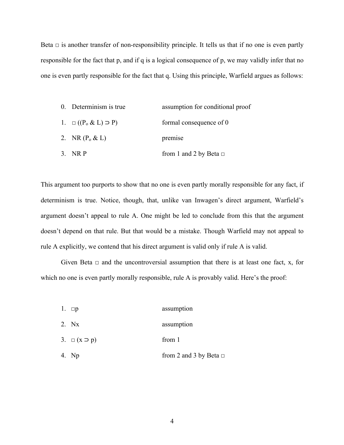Beta  $\Box$  is another transfer of non-responsibility principle. It tells us that if no one is even partly responsible for the fact that p, and if q is a logical consequence of p, we may validly infer that no one is even partly responsible for the fact that q. Using this principle, Warfield argues as follows:

|  | Determinism is true | assumption for conditional proof |  |  |  |
|--|---------------------|----------------------------------|--|--|--|
|--|---------------------|----------------------------------|--|--|--|

- 1.  $\Box$  ((P<sub>0</sub> & L)  $\Box$  P) formal consequence of 0
- 2. NR  $(P_0 & L)$  premise
- 3. NR P from 1 and 2 by Beta  $\Box$

This argument too purports to show that no one is even partly morally responsible for any fact, if determinism is true. Notice, though, that, unlike van Inwagen's direct argument, Warfield's argument doesn't appeal to rule A. One might be led to conclude from this that the argument doesn't depend on that rule. But that would be a mistake. Though Warfield may not appeal to rule A explicitly, we contend that his direct argument is valid only if rule A is valid.

Given Beta  $\Box$  and the uncontroversial assumption that there is at least one fact, x, for which no one is even partly morally responsible, rule A is provably valid. Here's the proof:

| 1. $\Box p$                 | assumption                  |
|-----------------------------|-----------------------------|
| 2. Nx                       | assumption                  |
| 3. $\Box$ ( $x \supset p$ ) | from 1                      |
| 4. Np                       | from 2 and 3 by Beta $\Box$ |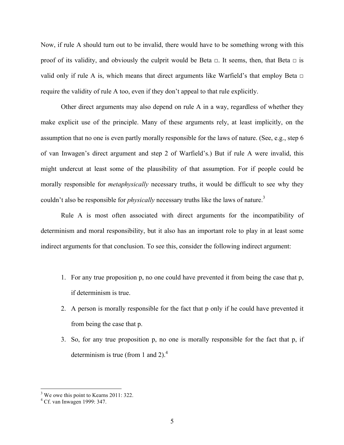Now, if rule A should turn out to be invalid, there would have to be something wrong with this proof of its validity, and obviously the culprit would be Beta  $\Box$ . It seems, then, that Beta  $\Box$  is valid only if rule A is, which means that direct arguments like Warfield's that employ Beta  $□$ require the validity of rule A too, even if they don't appeal to that rule explicitly.

Other direct arguments may also depend on rule A in a way, regardless of whether they make explicit use of the principle. Many of these arguments rely, at least implicitly, on the assumption that no one is even partly morally responsible for the laws of nature. (See, e.g., step 6 of van Inwagen's direct argument and step 2 of Warfield's.) But if rule A were invalid, this might undercut at least some of the plausibility of that assumption. For if people could be morally responsible for *metaphysically* necessary truths, it would be difficult to see why they couldn't also be responsible for *physically* necessary truths like the laws of nature.<sup>3</sup>

Rule A is most often associated with direct arguments for the incompatibility of determinism and moral responsibility, but it also has an important role to play in at least some indirect arguments for that conclusion. To see this, consider the following indirect argument:

- 1. For any true proposition p, no one could have prevented it from being the case that p, if determinism is true.
- 2. A person is morally responsible for the fact that p only if he could have prevented it from being the case that p.
- 3. So, for any true proposition p, no one is morally responsible for the fact that p, if determinism is true (from 1 and 2).<sup>4</sup>

<sup>&</sup>lt;sup>3</sup> We owe this point to Kearns 2011: 322.

<sup>4</sup> Cf. van Inwagen 1999: 347.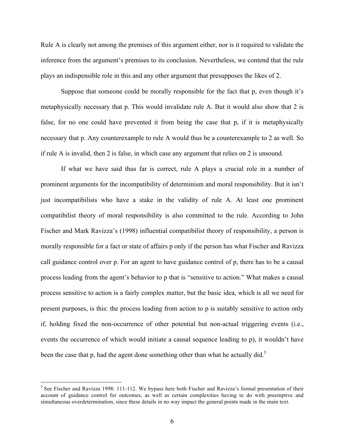Rule A is clearly not among the premises of this argument either, nor is it required to validate the inference from the argument's premises to its conclusion. Nevertheless, we contend that the rule plays an indispensible role in this and any other argument that presupposes the likes of 2.

Suppose that someone could be morally responsible for the fact that p, even though it's metaphysically necessary that p. This would invalidate rule A. But it would also show that 2 is false, for no one could have prevented it from being the case that p, if it is metaphysically necessary that p. Any counterexample to rule A would thus be a counterexample to 2 as well. So if rule A is invalid, then 2 is false, in which case any argument that relies on 2 is unsound.

If what we have said thus far is correct, rule A plays a crucial role in a number of prominent arguments for the incompatibility of determinism and moral responsibility. But it isn't just incompatibilists who have a stake in the validity of rule A. At least one prominent compatibilist theory of moral responsibility is also committed to the rule. According to John Fischer and Mark Ravizza's (1998) influential compatibilist theory of responsibility, a person is morally responsible for a fact or state of affairs p only if the person has what Fischer and Ravizza call guidance control over p. For an agent to have guidance control of p, there has to be a causal process leading from the agent's behavior to p that is "sensitive to action." What makes a causal process sensitive to action is a fairly complex matter, but the basic idea, which is all we need for present purposes, is this: the process leading from action to p is suitably sensitive to action only if, holding fixed the non-occurrence of other potential but non-actual triggering events (i.e., events the occurrence of which would initiate a causal sequence leading to p), it wouldn't have been the case that p, had the agent done something other than what he actually did.<sup>5</sup>

 $<sup>5</sup>$  See Fischer and Ravizza 1998: 111-112. We bypass here both Fischer and Ravizza's formal presentation of their</sup> account of guidance control for outcomes, as well as certain complexities having to do with preemptive and simultaneous overdetermination, since these details in no way impact the general points made in the main text.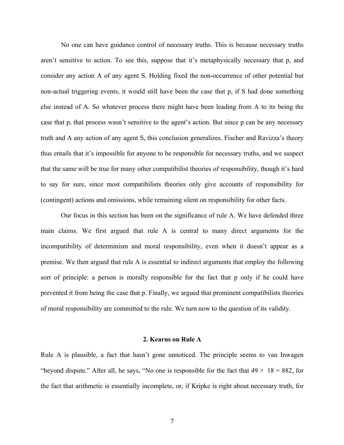No one can have guidance control of necessary truths. This is because necessary truths aren't sensitive to action. To see this, suppose that it's metaphysically necessary that p, and consider any action A of any agent S. Holding fixed the non-occurrence of other potential but non-actual triggering events, it would still have been the case that p, if S had done something else instead of A. So whatever process there might have been leading from A to its being the case that p, that process wasn't sensitive to the agent's action. But since p can be any necessary truth and A any action of any agent S, this conclusion generalizes. Fischer and Ravizza's theory thus entails that it's impossible for anyone to be responsible for necessary truths, and we suspect that the same will be true for many other compatibilist theories of responsibility, though it's hard to say for sure, since most compatibilists theories only give accounts of responsibility for (contingent) actions and omissions, while remaining silent on responsibility for other facts.

Our focus in this section has been on the significance of rule A. We have defended three main claims. We first argued that rule A is central to many direct arguments for the incompatibility of determinism and moral responsibility, even when it doesn't appear as a premise. We then argued that rule A is essential to indirect arguments that employ the following sort of principle: a person is morally responsible for the fact that p only if he could have prevented it from being the case that p. Finally, we argued that prominent compatibilists theories of moral responsibility are committed to the rule. We turn now to the question of its validity.

#### **2. Kearns on Rule A**

Rule A is plausible, a fact that hasn't gone unnoticed. The principle seems to van Inwagen "beyond dispute." After all, he says, "No one is responsible for the fact that  $49 \times 18 = 882$ , for the fact that arithmetic is essentially incomplete, or, if Kripke is right about necessary truth, for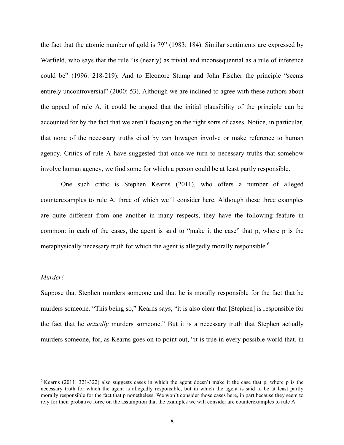the fact that the atomic number of gold is 79" (1983: 184). Similar sentiments are expressed by Warfield, who says that the rule "is (nearly) as trivial and inconsequential as a rule of inference could be" (1996: 218-219). And to Eleonore Stump and John Fischer the principle "seems entirely uncontroversial" (2000: 53). Although we are inclined to agree with these authors about the appeal of rule A, it could be argued that the initial plausibility of the principle can be accounted for by the fact that we aren't focusing on the right sorts of cases. Notice, in particular, that none of the necessary truths cited by van Inwagen involve or make reference to human agency. Critics of rule A have suggested that once we turn to necessary truths that somehow involve human agency, we find some for which a person could be at least partly responsible.

One such critic is Stephen Kearns (2011), who offers a number of alleged counterexamples to rule A, three of which we'll consider here. Although these three examples are quite different from one another in many respects, they have the following feature in common: in each of the cases, the agent is said to "make it the case" that p, where p is the metaphysically necessary truth for which the agent is allegedly morally responsible.<sup>6</sup>

### *Murder!*

Suppose that Stephen murders someone and that he is morally responsible for the fact that he murders someone. "This being so," Kearns says, "it is also clear that [Stephen] is responsible for the fact that he *actually* murders someone." But it is a necessary truth that Stephen actually murders someone, for, as Kearns goes on to point out, "it is true in every possible world that, in

 $6$  Kearns (2011: 321-322) also suggests cases in which the agent doesn't make it the case that p, where p is the necessary truth for which the agent is allegedly responsible, but in which the agent is said to be at least partly morally responsible for the fact that p nonetheless. We won't consider those cases here, in part because they seem to rely for their probative force on the assumption that the examples we will consider are counterexamples to rule A.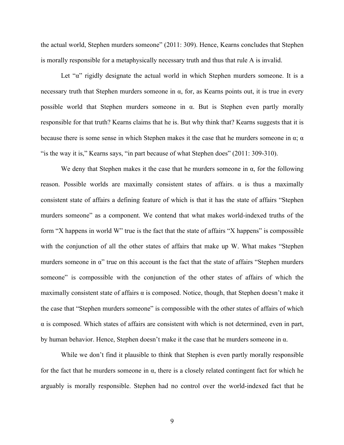the actual world, Stephen murders someone" (2011: 309). Hence, Kearns concludes that Stephen is morally responsible for a metaphysically necessary truth and thus that rule A is invalid.

Let "α" rigidly designate the actual world in which Stephen murders someone. It is a necessary truth that Stephen murders someone in  $\alpha$ , for, as Kearns points out, it is true in every possible world that Stephen murders someone in  $\alpha$ . But is Stephen even partly morally responsible for that truth? Kearns claims that he is. But why think that? Kearns suggests that it is because there is some sense in which Stephen makes it the case that he murders someone in  $\alpha$ ;  $\alpha$ "is the way it is," Kearns says, "in part because of what Stephen does" (2011: 309-310).

We deny that Stephen makes it the case that he murders someone in  $\alpha$ , for the following reason. Possible worlds are maximally consistent states of affairs. α is thus a maximally consistent state of affairs a defining feature of which is that it has the state of affairs "Stephen murders someone" as a component. We contend that what makes world-indexed truths of the form "X happens in world W" true is the fact that the state of affairs "X happens" is compossible with the conjunction of all the other states of affairs that make up W. What makes "Stephen murders someone in α" true on this account is the fact that the state of affairs "Stephen murders someone" is compossible with the conjunction of the other states of affairs of which the maximally consistent state of affairs α is composed. Notice, though, that Stephen doesn't make it the case that "Stephen murders someone" is compossible with the other states of affairs of which  $\alpha$  is composed. Which states of affairs are consistent with which is not determined, even in part, by human behavior. Hence, Stephen doesn't make it the case that he murders someone in α.

While we don't find it plausible to think that Stephen is even partly morally responsible for the fact that he murders someone in  $\alpha$ , there is a closely related contingent fact for which he arguably is morally responsible. Stephen had no control over the world-indexed fact that he

9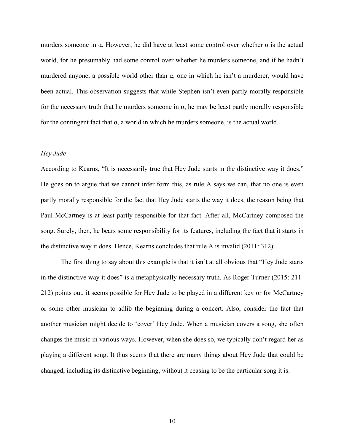murders someone in  $\alpha$ . However, he did have at least some control over whether  $\alpha$  is the actual world, for he presumably had some control over whether he murders someone, and if he hadn't murdered anyone, a possible world other than  $\alpha$ , one in which he isn't a murderer, would have been actual. This observation suggests that while Stephen isn't even partly morally responsible for the necessary truth that he murders someone in  $\alpha$ , he may be least partly morally responsible for the contingent fact that  $\alpha$ , a world in which he murders someone, is the actual world.

# *Hey Jude*

According to Kearns, "It is necessarily true that Hey Jude starts in the distinctive way it does." He goes on to argue that we cannot infer form this, as rule A says we can, that no one is even partly morally responsible for the fact that Hey Jude starts the way it does, the reason being that Paul McCartney is at least partly responsible for that fact. After all, McCartney composed the song. Surely, then, he bears some responsibility for its features, including the fact that it starts in the distinctive way it does. Hence, Kearns concludes that rule A is invalid (2011: 312).

The first thing to say about this example is that it isn't at all obvious that "Hey Jude starts in the distinctive way it does" is a metaphysically necessary truth. As Roger Turner (2015: 211- 212) points out, it seems possible for Hey Jude to be played in a different key or for McCartney or some other musician to adlib the beginning during a concert. Also, consider the fact that another musician might decide to 'cover' Hey Jude. When a musician covers a song, she often changes the music in various ways. However, when she does so, we typically don't regard her as playing a different song. It thus seems that there are many things about Hey Jude that could be changed, including its distinctive beginning, without it ceasing to be the particular song it is.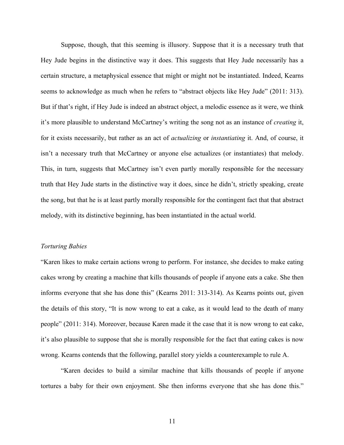Suppose, though, that this seeming is illusory. Suppose that it is a necessary truth that Hey Jude begins in the distinctive way it does. This suggests that Hey Jude necessarily has a certain structure, a metaphysical essence that might or might not be instantiated. Indeed, Kearns seems to acknowledge as much when he refers to "abstract objects like Hey Jude" (2011: 313). But if that's right, if Hey Jude is indeed an abstract object, a melodic essence as it were, we think it's more plausible to understand McCartney's writing the song not as an instance of *creating* it, for it exists necessarily, but rather as an act of *actualizing* or *instantiating* it. And, of course, it isn't a necessary truth that McCartney or anyone else actualizes (or instantiates) that melody. This, in turn, suggests that McCartney isn't even partly morally responsible for the necessary truth that Hey Jude starts in the distinctive way it does, since he didn't, strictly speaking, create the song, but that he is at least partly morally responsible for the contingent fact that that abstract melody, with its distinctive beginning, has been instantiated in the actual world.

### *Torturing Babies*

"Karen likes to make certain actions wrong to perform. For instance, she decides to make eating cakes wrong by creating a machine that kills thousands of people if anyone eats a cake. She then informs everyone that she has done this" (Kearns 2011: 313-314). As Kearns points out, given the details of this story, "It is now wrong to eat a cake, as it would lead to the death of many people" (2011: 314). Moreover, because Karen made it the case that it is now wrong to eat cake, it's also plausible to suppose that she is morally responsible for the fact that eating cakes is now wrong. Kearns contends that the following, parallel story yields a counterexample to rule A.

"Karen decides to build a similar machine that kills thousands of people if anyone tortures a baby for their own enjoyment. She then informs everyone that she has done this."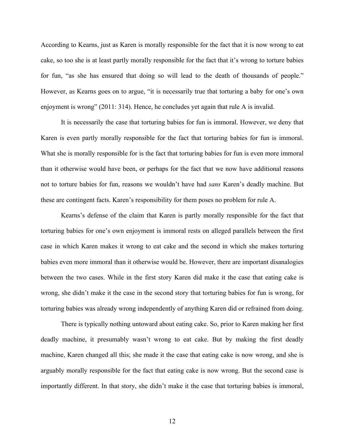According to Kearns, just as Karen is morally responsible for the fact that it is now wrong to eat cake, so too she is at least partly morally responsible for the fact that it's wrong to torture babies for fun, "as she has ensured that doing so will lead to the death of thousands of people." However, as Kearns goes on to argue, "it is necessarily true that torturing a baby for one's own enjoyment is wrong" (2011: 314). Hence, he concludes yet again that rule A is invalid.

It is necessarily the case that torturing babies for fun is immoral. However, we deny that Karen is even partly morally responsible for the fact that torturing babies for fun is immoral. What she is morally responsible for is the fact that torturing babies for fun is even more immoral than it otherwise would have been, or perhaps for the fact that we now have additional reasons not to torture babies for fun, reasons we wouldn't have had *sans* Karen's deadly machine. But these are contingent facts. Karen's responsibility for them poses no problem for rule A.

Kearns's defense of the claim that Karen is partly morally responsible for the fact that torturing babies for one's own enjoyment is immoral rests on alleged parallels between the first case in which Karen makes it wrong to eat cake and the second in which she makes torturing babies even more immoral than it otherwise would be. However, there are important disanalogies between the two cases. While in the first story Karen did make it the case that eating cake is wrong, she didn't make it the case in the second story that torturing babies for fun is wrong, for torturing babies was already wrong independently of anything Karen did or refrained from doing.

There is typically nothing untoward about eating cake. So, prior to Karen making her first deadly machine, it presumably wasn't wrong to eat cake. But by making the first deadly machine, Karen changed all this; she made it the case that eating cake is now wrong, and she is arguably morally responsible for the fact that eating cake is now wrong. But the second case is importantly different. In that story, she didn't make it the case that torturing babies is immoral,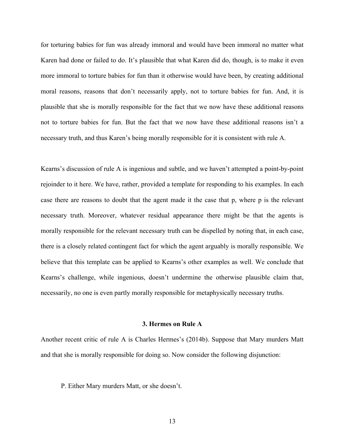for torturing babies for fun was already immoral and would have been immoral no matter what Karen had done or failed to do. It's plausible that what Karen did do, though, is to make it even more immoral to torture babies for fun than it otherwise would have been, by creating additional moral reasons, reasons that don't necessarily apply, not to torture babies for fun. And, it is plausible that she is morally responsible for the fact that we now have these additional reasons not to torture babies for fun. But the fact that we now have these additional reasons isn't a necessary truth, and thus Karen's being morally responsible for it is consistent with rule A.

Kearns's discussion of rule A is ingenious and subtle, and we haven't attempted a point-by-point rejoinder to it here. We have, rather, provided a template for responding to his examples. In each case there are reasons to doubt that the agent made it the case that p, where p is the relevant necessary truth. Moreover, whatever residual appearance there might be that the agents is morally responsible for the relevant necessary truth can be dispelled by noting that, in each case, there is a closely related contingent fact for which the agent arguably is morally responsible. We believe that this template can be applied to Kearns's other examples as well. We conclude that Kearns's challenge, while ingenious, doesn't undermine the otherwise plausible claim that, necessarily, no one is even partly morally responsible for metaphysically necessary truths.

### **3. Hermes on Rule A**

Another recent critic of rule A is Charles Hermes's (2014b). Suppose that Mary murders Matt and that she is morally responsible for doing so. Now consider the following disjunction:

P. Either Mary murders Matt, or she doesn't.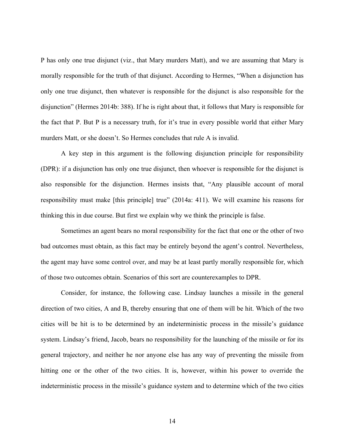P has only one true disjunct (viz., that Mary murders Matt), and we are assuming that Mary is morally responsible for the truth of that disjunct. According to Hermes, "When a disjunction has only one true disjunct, then whatever is responsible for the disjunct is also responsible for the disjunction" (Hermes 2014b: 388). If he is right about that, it follows that Mary is responsible for the fact that P. But P is a necessary truth, for it's true in every possible world that either Mary murders Matt, or she doesn't. So Hermes concludes that rule A is invalid.

A key step in this argument is the following disjunction principle for responsibility (DPR): if a disjunction has only one true disjunct, then whoever is responsible for the disjunct is also responsible for the disjunction. Hermes insists that, "Any plausible account of moral responsibility must make [this principle] true" (2014a: 411). We will examine his reasons for thinking this in due course. But first we explain why we think the principle is false.

Sometimes an agent bears no moral responsibility for the fact that one or the other of two bad outcomes must obtain, as this fact may be entirely beyond the agent's control. Nevertheless, the agent may have some control over, and may be at least partly morally responsible for, which of those two outcomes obtain. Scenarios of this sort are counterexamples to DPR.

Consider, for instance, the following case. Lindsay launches a missile in the general direction of two cities, A and B, thereby ensuring that one of them will be hit. Which of the two cities will be hit is to be determined by an indeterministic process in the missile's guidance system. Lindsay's friend, Jacob, bears no responsibility for the launching of the missile or for its general trajectory, and neither he nor anyone else has any way of preventing the missile from hitting one or the other of the two cities. It is, however, within his power to override the indeterministic process in the missile's guidance system and to determine which of the two cities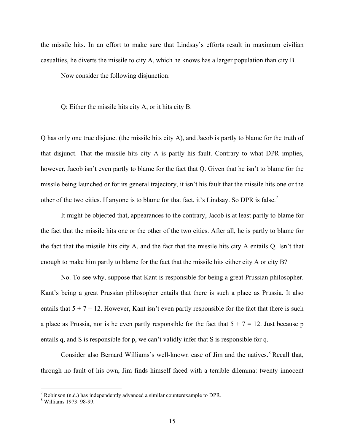the missile hits. In an effort to make sure that Lindsay's efforts result in maximum civilian casualties, he diverts the missile to city A, which he knows has a larger population than city B.

Now consider the following disjunction:

Q: Either the missile hits city A, or it hits city B.

Q has only one true disjunct (the missile hits city A), and Jacob is partly to blame for the truth of that disjunct. That the missile hits city A is partly his fault. Contrary to what DPR implies, however, Jacob isn't even partly to blame for the fact that Q. Given that he isn't to blame for the missile being launched or for its general trajectory, it isn't his fault that the missile hits one or the other of the two cities. If anyone is to blame for that fact, it's Lindsay. So DPR is false.<sup>7</sup>

It might be objected that, appearances to the contrary, Jacob is at least partly to blame for the fact that the missile hits one or the other of the two cities. After all, he is partly to blame for the fact that the missile hits city A, and the fact that the missile hits city A entails Q. Isn't that enough to make him partly to blame for the fact that the missile hits either city A or city B?

No. To see why, suppose that Kant is responsible for being a great Prussian philosopher. Kant's being a great Prussian philosopher entails that there is such a place as Prussia. It also entails that  $5 + 7 = 12$ . However, Kant isn't even partly responsible for the fact that there is such a place as Prussia, nor is he even partly responsible for the fact that  $5 + 7 = 12$ . Just because p entails q, and S is responsible for p, we can't validly infer that S is responsible for q.

Consider also Bernard Williams's well-known case of Jim and the natives.<sup>8</sup> Recall that, through no fault of his own, Jim finds himself faced with a terrible dilemma: twenty innocent

 $\frac{7}{8}$  Robinson (n.d.) has independently advanced a similar counterexample to DPR.  $\frac{8}{8}$  Williams 1973: 98-99.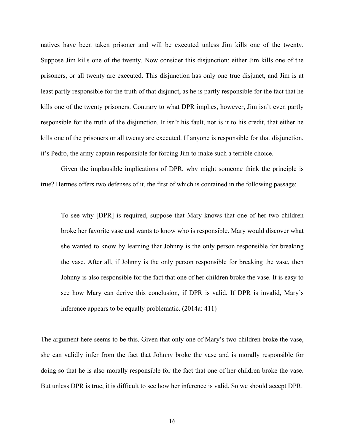natives have been taken prisoner and will be executed unless Jim kills one of the twenty. Suppose Jim kills one of the twenty. Now consider this disjunction: either Jim kills one of the prisoners, or all twenty are executed. This disjunction has only one true disjunct, and Jim is at least partly responsible for the truth of that disjunct, as he is partly responsible for the fact that he kills one of the twenty prisoners. Contrary to what DPR implies, however, Jim isn't even partly responsible for the truth of the disjunction. It isn't his fault, nor is it to his credit, that either he kills one of the prisoners or all twenty are executed. If anyone is responsible for that disjunction, it's Pedro, the army captain responsible for forcing Jim to make such a terrible choice.

Given the implausible implications of DPR, why might someone think the principle is true? Hermes offers two defenses of it, the first of which is contained in the following passage:

To see why [DPR] is required, suppose that Mary knows that one of her two children broke her favorite vase and wants to know who is responsible. Mary would discover what she wanted to know by learning that Johnny is the only person responsible for breaking the vase. After all, if Johnny is the only person responsible for breaking the vase, then Johnny is also responsible for the fact that one of her children broke the vase. It is easy to see how Mary can derive this conclusion, if DPR is valid. If DPR is invalid, Mary's inference appears to be equally problematic. (2014a: 411)

The argument here seems to be this. Given that only one of Mary's two children broke the vase, she can validly infer from the fact that Johnny broke the vase and is morally responsible for doing so that he is also morally responsible for the fact that one of her children broke the vase. But unless DPR is true, it is difficult to see how her inference is valid. So we should accept DPR.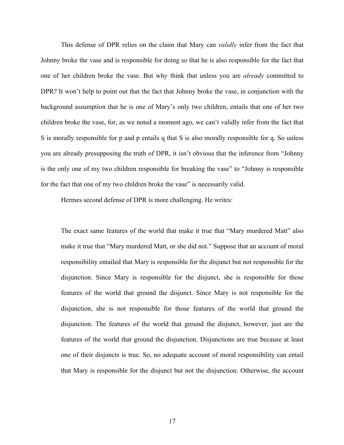This defense of DPR relies on the claim that Mary can *validly* infer from the fact that Johnny broke the vase and is responsible for doing so that he is also responsible for the fact that one of her children broke the vase. But why think that unless you are *already* committed to DPR? It won't help to point out that the fact that Johnny broke the vase, in conjunction with the background assumption that he is one of Mary's only two children, entails that one of her two children broke the vase, for, as we noted a moment ago, we can't validly infer from the fact that S is morally responsible for p and p entails q that S is also morally responsible for q. So unless you are already presupposing the truth of DPR, it isn't obvious that the inference from "Johnny is the only one of my two children responsible for breaking the vase" to "Johnny is responsible for the fact that one of my two children broke the vase" is necessarily valid.

Hermes second defense of DPR is more challenging. He writes:

The exact same features of the world that make it true that "Mary murdered Matt" also make it true that "Mary murdered Matt, or she did not." Suppose that an account of moral responsibility entailed that Mary is responsible for the disjunct but not responsible for the disjunction. Since Mary is responsible for the disjunct, she is responsible for those features of the world that ground the disjunct. Since Mary is not responsible for the disjunction, she is not responsible for those features of the world that ground the disjunction. The features of the world that ground the disjunct, however, just are the features of the world that ground the disjunction. Disjunctions are true because at least one of their disjuncts is true. So, no adequate account of moral responsibility can entail that Mary is responsible for the disjunct but not the disjunction. Otherwise, the account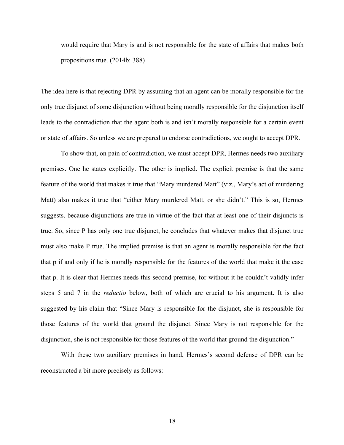would require that Mary is and is not responsible for the state of affairs that makes both propositions true. (2014b: 388)

The idea here is that rejecting DPR by assuming that an agent can be morally responsible for the only true disjunct of some disjunction without being morally responsible for the disjunction itself leads to the contradiction that the agent both is and isn't morally responsible for a certain event or state of affairs. So unless we are prepared to endorse contradictions, we ought to accept DPR.

To show that, on pain of contradiction, we must accept DPR, Hermes needs two auxiliary premises. One he states explicitly. The other is implied. The explicit premise is that the same feature of the world that makes it true that "Mary murdered Matt" (viz., Mary's act of murdering Matt) also makes it true that "either Mary murdered Matt, or she didn't." This is so, Hermes suggests, because disjunctions are true in virtue of the fact that at least one of their disjuncts is true. So, since P has only one true disjunct, he concludes that whatever makes that disjunct true must also make P true. The implied premise is that an agent is morally responsible for the fact that p if and only if he is morally responsible for the features of the world that make it the case that p. It is clear that Hermes needs this second premise, for without it he couldn't validly infer steps 5 and 7 in the *reductio* below, both of which are crucial to his argument. It is also suggested by his claim that "Since Mary is responsible for the disjunct, she is responsible for those features of the world that ground the disjunct. Since Mary is not responsible for the disjunction, she is not responsible for those features of the world that ground the disjunction."

With these two auxiliary premises in hand, Hermes's second defense of DPR can be reconstructed a bit more precisely as follows: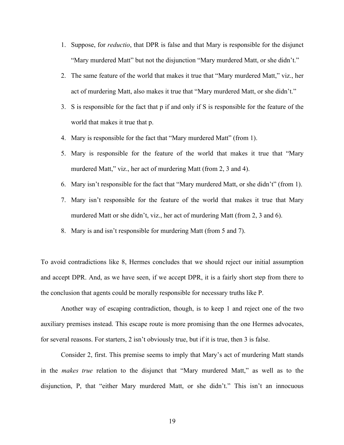- 1. Suppose, for *reductio*, that DPR is false and that Mary is responsible for the disjunct "Mary murdered Matt" but not the disjunction "Mary murdered Matt, or she didn't."
- 2. The same feature of the world that makes it true that "Mary murdered Matt," viz., her act of murdering Matt, also makes it true that "Mary murdered Matt, or she didn't."
- 3. S is responsible for the fact that p if and only if S is responsible for the feature of the world that makes it true that p.
- 4. Mary is responsible for the fact that "Mary murdered Matt" (from 1).
- 5. Mary is responsible for the feature of the world that makes it true that "Mary murdered Matt," viz., her act of murdering Matt (from 2, 3 and 4).
- 6. Mary isn't responsible for the fact that "Mary murdered Matt, or she didn't" (from 1).
- 7. Mary isn't responsible for the feature of the world that makes it true that Mary murdered Matt or she didn't, viz., her act of murdering Matt (from 2, 3 and 6).
- 8. Mary is and isn't responsible for murdering Matt (from 5 and 7).

To avoid contradictions like 8, Hermes concludes that we should reject our initial assumption and accept DPR. And, as we have seen, if we accept DPR, it is a fairly short step from there to the conclusion that agents could be morally responsible for necessary truths like P.

Another way of escaping contradiction, though, is to keep 1 and reject one of the two auxiliary premises instead. This escape route is more promising than the one Hermes advocates, for several reasons. For starters, 2 isn't obviously true, but if it is true, then 3 is false.

Consider 2, first. This premise seems to imply that Mary's act of murdering Matt stands in the *makes true* relation to the disjunct that "Mary murdered Matt," as well as to the disjunction, P, that "either Mary murdered Matt, or she didn't." This isn't an innocuous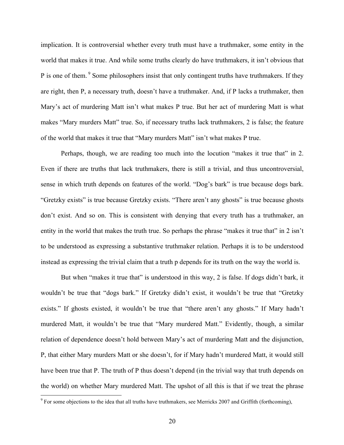implication. It is controversial whether every truth must have a truthmaker, some entity in the world that makes it true. And while some truths clearly do have truthmakers, it isn't obvious that P is one of them. <sup>9</sup> Some philosophers insist that only contingent truths have truthmakers. If they are right, then P, a necessary truth, doesn't have a truthmaker. And, if P lacks a truthmaker, then Mary's act of murdering Matt isn't what makes P true. But her act of murdering Matt is what makes "Mary murders Matt" true. So, if necessary truths lack truthmakers, 2 is false; the feature of the world that makes it true that "Mary murders Matt" isn't what makes P true.

Perhaps, though, we are reading too much into the locution "makes it true that" in 2. Even if there are truths that lack truthmakers, there is still a trivial, and thus uncontroversial, sense in which truth depends on features of the world. "Dog's bark" is true because dogs bark. "Gretzky exists" is true because Gretzky exists. "There aren't any ghosts" is true because ghosts don't exist. And so on. This is consistent with denying that every truth has a truthmaker, an entity in the world that makes the truth true. So perhaps the phrase "makes it true that" in 2 isn't to be understood as expressing a substantive truthmaker relation. Perhaps it is to be understood instead as expressing the trivial claim that a truth p depends for its truth on the way the world is.

But when "makes it true that" is understood in this way, 2 is false. If dogs didn't bark, it wouldn't be true that "dogs bark." If Gretzky didn't exist, it wouldn't be true that "Gretzky exists." If ghosts existed, it wouldn't be true that "there aren't any ghosts." If Mary hadn't murdered Matt, it wouldn't be true that "Mary murdered Matt." Evidently, though, a similar relation of dependence doesn't hold between Mary's act of murdering Matt and the disjunction, P, that either Mary murders Matt or she doesn't, for if Mary hadn't murdered Matt, it would still have been true that P. The truth of P thus doesn't depend (in the trivial way that truth depends on the world) on whether Mary murdered Matt. The upshot of all this is that if we treat the phrase

 $9$  For some objections to the idea that all truths have truthmakers, see Merricks 2007 and Griffith (forthcoming),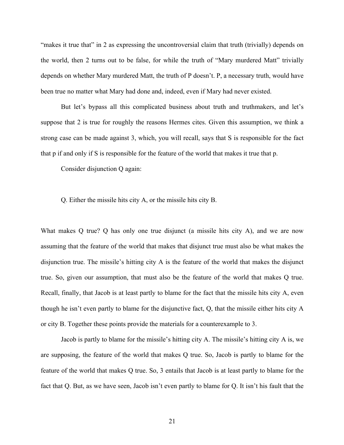"makes it true that" in 2 as expressing the uncontroversial claim that truth (trivially) depends on the world, then 2 turns out to be false, for while the truth of "Mary murdered Matt" trivially depends on whether Mary murdered Matt, the truth of P doesn't. P, a necessary truth, would have been true no matter what Mary had done and, indeed, even if Mary had never existed.

But let's bypass all this complicated business about truth and truthmakers, and let's suppose that 2 is true for roughly the reasons Hermes cites. Given this assumption, we think a strong case can be made against 3, which, you will recall, says that S is responsible for the fact that p if and only if S is responsible for the feature of the world that makes it true that p.

Consider disjunction Q again:

Q. Either the missile hits city A, or the missile hits city B.

What makes Q true? Q has only one true disjunct (a missile hits city A), and we are now assuming that the feature of the world that makes that disjunct true must also be what makes the disjunction true. The missile's hitting city A is the feature of the world that makes the disjunct true. So, given our assumption, that must also be the feature of the world that makes Q true. Recall, finally, that Jacob is at least partly to blame for the fact that the missile hits city A, even though he isn't even partly to blame for the disjunctive fact, Q, that the missile either hits city A or city B. Together these points provide the materials for a counterexample to 3.

Jacob is partly to blame for the missile's hitting city A. The missile's hitting city A is, we are supposing, the feature of the world that makes Q true. So, Jacob is partly to blame for the feature of the world that makes Q true. So, 3 entails that Jacob is at least partly to blame for the fact that Q. But, as we have seen, Jacob isn't even partly to blame for Q. It isn't his fault that the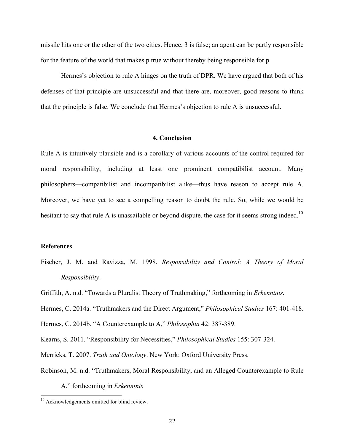missile hits one or the other of the two cities. Hence, 3 is false; an agent can be partly responsible for the feature of the world that makes p true without thereby being responsible for p.

Hermes's objection to rule A hinges on the truth of DPR. We have argued that both of his defenses of that principle are unsuccessful and that there are, moreover, good reasons to think that the principle is false. We conclude that Hermes's objection to rule A is unsuccessful.

# **4. Conclusion**

Rule A is intuitively plausible and is a corollary of various accounts of the control required for moral responsibility, including at least one prominent compatibilist account. Many philosophers—compatibilist and incompatibilist alike—thus have reason to accept rule A. Moreover, we have yet to see a compelling reason to doubt the rule. So, while we would be hesitant to say that rule A is unassailable or beyond dispute, the case for it seems strong indeed.<sup>10</sup>

### **References**

- Fischer, J. M. and Ravizza, M. 1998. *Responsibility and Control: A Theory of Moral Responsibility*.
- Griffith, A. n.d. "Towards a Pluralist Theory of Truthmaking," forthcoming in *Erkenntnis.*

Hermes, C. 2014a. "Truthmakers and the Direct Argument," *Philosophical Studies* 167: 401-418.

Hermes, C. 2014b. "A Counterexample to A," *Philosophia* 42: 387-389.

Kearns, S. 2011. "Responsibility for Necessities," *Philosophical Studies* 155: 307-324.

Merricks, T. 2007. *Truth and Ontology*. New York: Oxford University Press.

Robinson, M. n.d. "Truthmakers, Moral Responsibility, and an Alleged Counterexample to Rule A," forthcoming in *Erkenntnis*

<sup>&</sup>lt;sup>10</sup> Acknowledgements omitted for blind review.